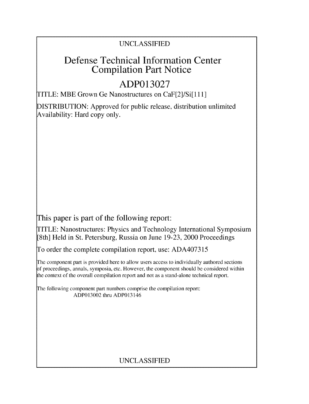# UNCLASSIFIED

# Defense Technical Information Center Compilation Part Notice

# **ADP013027**

TITLE: MBE Grown Ge Nanostructures on CaF[2]/Si[1 11]

DISTRIBUTION: Approved for public release, distribution unlimited Availability: Hard copy only.

This paper is part of the following report:

TITLE: Nanostructures: Physics and Technology International Symposium [8th] Held in St. Petersburg, Russia on June 19-23, 2000 Proceedings

To order the complete compilation report, use: ADA407315

The component part is provided here to allow users access to individually authored sections f proceedings, annals, symposia, etc. However, the component should be considered within the context of the overall compilation report and not as a stand-alone technical report.

The following component part numbers comprise the compilation report: ADP013002 thru ADP013146

# UNCLASSIFIED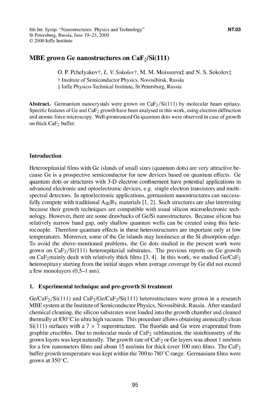## MBE grown Ge nanostructures on CaF<sub>2</sub>/Si(111)

**O. P. Pchelyakovt,** *L. V. Sokolovt*, **M. M. Moisseevat and N. S. Sokolovt T** Institute of Semiconductor Physics, Novosibirsk, Russia **.:** Joffe Physico-Technical Institute, St Petersburg, Russia

Abstract. Germanium nanocrystals were grown on  $CaF<sub>2</sub>/Si(111)$  by molecular beam epitaxy. Specific features of Ge and  $CaF<sub>2</sub>$  growth have been analysed in this work, using electron diffraction and atomic force microscopy. Well-pronounced Ge quantum dots were observed in case of growth on thick CaF<sub>2</sub> buffer.

## Introduction

Heteroepitaxial films with Ge islands of small sizes (quantum dots) are very attractive because Ge is a prospective semiconductor for new devices based on quantum effects. Ge quantum dots or structures with 3-D electron confinement have potential applications in advanced electronic and optoelectronic devices, e.g. single electron transistors and multispectral detectors. In optoelectronic applications, germanium nanostructures can successfully compete with traditional  $A_{III}B_V$  materials [1, 2]. Such structures are also interesting because their growth techniques are compatible with usual silicon microelectronic technology. However, there are some drawbacks of Ge/Si nanostructures. Because silicon has relatively narrow band gap, only shallow quantum wells can be created using this heterocouple. Therefore quantum effects in these heterostructures are important only at low temperatures. Moreover, some of the Ge islands may luminesce at the Si absorption edge. To avoid the above-mentioned problems, the Ge dots studied in the present work were grown on  $CaF<sub>2</sub>/Si(111)$  heteroepitaxial substrates. The previous reports on Ge growth on CaF<sub>2</sub>mainly dealt with relatively thick films [3, 4]. In this work, we studied Ge/CaF<sub>2</sub> heteroepitaxy starting from the initial stages when average coverage by Ge did not exceed a few monolayers (0.5-1 nm).

## 1. Experimental technique and pre-growth Si treatment

 $Ge/CaF_2/Si(111)$  and  $CaF_2/Ge/CaF_2/Si(111)$  heterostructures were grown in a research MBE system at the Institute of Semiconductor Physics, Novosibirsk, Russia. After standard chemical cleaning, the silicon substrates were loaded into the growth chamber and cleaned thermally at  $830^{\circ}$ C in ultra high vacuum. This procedure allows obtaining atomically clean  $Si(111)$  surfaces with a 7  $\times$  7 superstructure. The fluoride and Ge were evaporated from graphite crucibles. Due to molecular mode of  $CaF<sub>2</sub>$  sublimation, the stoichiometry of the grown layers was kept naturally. The growth rate of  $CaF<sub>2</sub>$  or Ge layers was about 1 nm/min for a few nanometers films and about **15** nm/min for thick (over 100 nm) films. The CaF2 buffer growth temperature was kept within the 700 to 780 $\degree$ C range. Germanium films were grown at  $350^{\circ}$ C.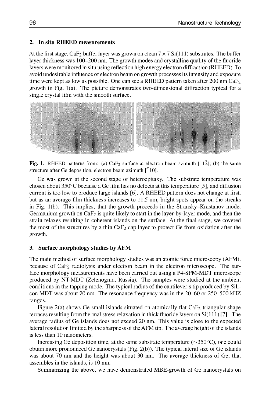### 2. In situ RHEED measurements

 $\overline{A}$  the first stage,  $\overline{A}$  buffer layer was grown on clean  $\overline{A}$  in  $\overline{A}$  substrates. The buffer layer  $\overline{A}$ At the first stage,  $\text{Car}_2$  buffer layer was grown on clean  $7 \times 7$  S((111) substrates. The buffer layer thickness was 100–200 nm. The growth modes and crystalline quality of the fluoride layers were monitored in situ using reflection high energy electron diffraction (RHEED). To avoid undesirable influence of electron beam on growth processes its intensity and exposure time were kept as low as possible. One can see a RHEED pattern taken after 200 nm Ca $F_2$ growth in Fig. 1(a). The picture demonstrates two-dimensional diffraction typical for a single crystal film with the smooth surface.



Fig. 1. RHEED patterns from: (a) CaF<sub>2</sub> surface at electron beam azimuth [112]; (b) the same structure after Ge deposition, electron beam azimuth [110].

Ge was grown at the second stage of heteroepitaxy. The substrate temperature was chosen about 350 $\degree$ C because a Ge film has no defects at this temperature [5], and diffusion current is too low to produce large islands  $[6]$ . A RHEED pattern does not change at first, but as an average film thickness increases to 11.5 nm, bright spots appear on the streaks in Fig.  $1(b)$ . This implies, that the growth proceeds in the Stransky–Krastanov mode. Germanium growth on  $CaF<sub>2</sub>$  is quite likely to start in the layer-by-layer mode, and then the strain relaxes resulting in coherent islands on the surface. At the final stage, we covered the most of the structures by a thin  $CaF<sub>2</sub>$  cap layer to protect Ge from oxidation after the growth.

#### 3. Surface morphology studies by AFM

The main method of surface morphology studies was an atomic force microscopy (AFM), The main method of surface morphology studies was an atomic force microscopy (AFM), because of  $CaF<sub>2</sub>$  radiolysis under electron beam in the electron microscope. The surface morphology measurements have been carried out using a P4-SPM-MDT microscope produced by NT-MDT (Zelenograd, Russia). The samples were studied at the ambient conditions in the tapping mode. The typical radius of the cantilever's tip produced by Sili-<br>con MDT was about 20 nm. The resonance frequency was in the 20–60 or 250–500 kHZ ranges. Figure 2(a) shows Ge small islands situated on atomically flat CaF2 triangular shape

Figure  $2(a)$  shows Ge small islands situated on atomically flat  $CaF<sub>2</sub>$  triangular shape terraces resulting from thermal stress relaxation in thick fluoride layers on  $Si(111)[7]$ . The average radius of Ge islands does not exceed 20 nm. This value is close to the expected lateral resolution limited by the sharpness of the AFM tip. The average height of the islands is less than 10 nanometers.

Increasing Ge deposition time, at the same substrate temperature ( $\sim$ 350 $\degree$ C), one could obtain more pronounced Ge nanocrystals (Fig. 2(b)). The typical lateral size of Ge islands was about 70 nm and the height was about 30 nm. The average thickness of Ge, that assembles in the islands, is 10 nm.<br>Summarizing the above, we have demonstrated MBE-growth of Ge nanocrystals on